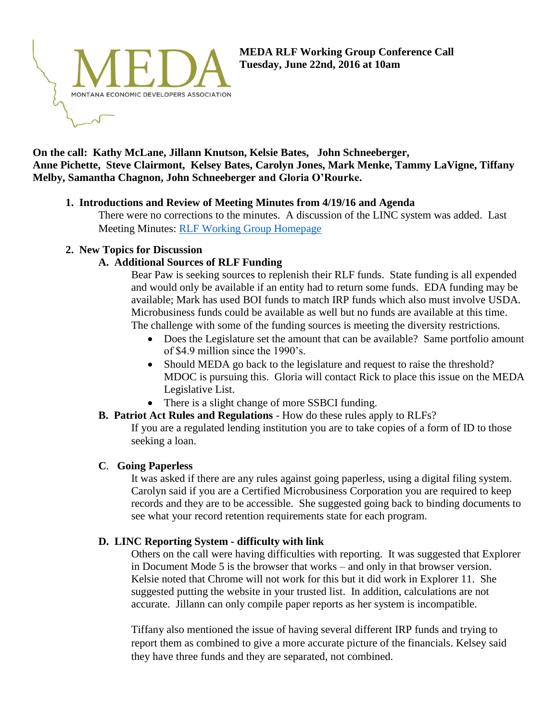

### **On the call: Kathy McLane, Jillann Knutson, Kelsie Bates, John Schneeberger, Anne Pichette, Steve Clairmont, Kelsey Bates, Carolyn Jones, Mark Menke, Tammy LaVigne, Tiffany Melby, Samantha Chagnon, John Schneeberger and Gloria O'Rourke.**

# **1. Introductions and Review of Meeting Minutes from 4/19/16 and Agenda**

There were no corrections to the minutes. A discussion of the LINC system was added. Last Meeting Minutes: [RLF Working Group Homepage](http://www.medamembers.org/meda/working-groups/revolving-loan-fund/?cat=Revolving%20Loan%20Fund&keyword=&submit=Submit&video=1&photo=1&audio=1&document=1&link=1&compact=1)

#### **2. New Topics for Discussion**

## **A. Additional Sources of RLF Funding**

Bear Paw is seeking sources to replenish their RLF funds. State funding is all expended and would only be available if an entity had to return some funds. EDA funding may be available; Mark has used BOI funds to match IRP funds which also must involve USDA. Microbusiness funds could be available as well but no funds are available at this time. The challenge with some of the funding sources is meeting the diversity restrictions.

- Does the Legislature set the amount that can be available? Same portfolio amount of \$4.9 million since the 1990's.
- Should MEDA go back to the legislature and request to raise the threshold? MDOC is pursuing this. Gloria will contact Rick to place this issue on the MEDA Legislative List.
- There is a slight change of more SSBCI funding.

# **B. Patriot Act Rules and Regulations** - How do these rules apply to RLFs?

If you are a regulated lending institution you are to take copies of a form of ID to those seeking a loan.

#### **C**. **Going Paperless**

It was asked if there are any rules against going paperless, using a digital filing system. Carolyn said if you are a Certified Microbusiness Corporation you are required to keep records and they are to be accessible. She suggested going back to binding documents to see what your record retention requirements state for each program.

# **D. LINC Reporting System - difficulty with link**

Others on the call were having difficulties with reporting. It was suggested that Explorer in Document Mode 5 is the browser that works – and only in that browser version. Kelsie noted that Chrome will not work for this but it did work in Explorer 11. She suggested putting the website in your trusted list. In addition, calculations are not accurate. Jillann can only compile paper reports as her system is incompatible.

Tiffany also mentioned the issue of having several different IRP funds and trying to report them as combined to give a more accurate picture of the financials. Kelsey said they have three funds and they are separated, not combined.